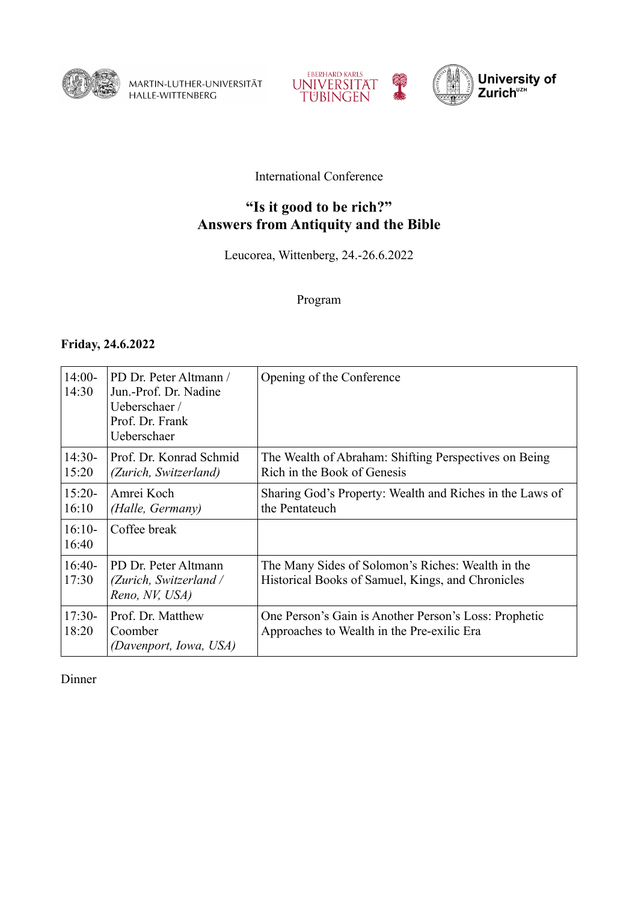

MARTIN-LUTHER-UNIVERSITÄT<br>HALLE-WITTENBERG





### International Conference

# **"Is it good to be rich?" Answers from Antiquity and the Bible**

Leucorea, Wittenberg, 24.-26.6.2022

Program

#### **Friday, 24.6.2022**

| $14:00-$<br>14:30 | PD Dr. Peter Altmann /<br>Jun.-Prof. Dr. Nadine<br>Ueberschaer/<br>Prof. Dr. Frank<br>Ueberschaer | Opening of the Conference                                                                              |
|-------------------|---------------------------------------------------------------------------------------------------|--------------------------------------------------------------------------------------------------------|
| $14:30-$<br>15:20 | Prof. Dr. Konrad Schmid<br>(Zurich, Switzerland)                                                  | The Wealth of Abraham: Shifting Perspectives on Being<br>Rich in the Book of Genesis                   |
| $15:20-$<br>16:10 | Amrei Koch<br>(Halle, Germany)                                                                    | Sharing God's Property: Wealth and Riches in the Laws of<br>the Pentateuch                             |
| $16:10-$<br>16:40 | Coffee break                                                                                      |                                                                                                        |
| $16:40-$<br>17:30 | PD Dr. Peter Altmann<br>(Zurich, Switzerland /<br>Reno, NV, USA)                                  | The Many Sides of Solomon's Riches: Wealth in the<br>Historical Books of Samuel, Kings, and Chronicles |
| $17:30-$<br>18:20 | Prof. Dr. Matthew<br>Coomber<br>(Davenport, Iowa, USA)                                            | One Person's Gain is Another Person's Loss: Prophetic<br>Approaches to Wealth in the Pre-exilic Era    |

Dinner